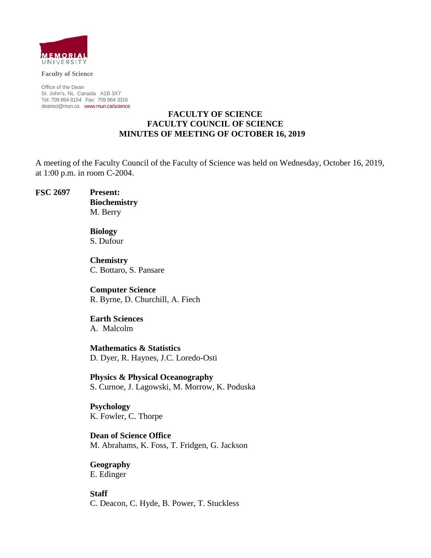

**Faculty of Science**

Office of the Dean St. John's, NL Canada A1B 3X7 Tel: 709 864 8154 Fax: 709 864 3316 [deansci@mun.ca](mailto:deansci@mun.ca) [www.mun.ca/science](http://www.mun.ca/science)

### **FACULTY OF SCIENCE FACULTY COUNCIL OF SCIENCE MINUTES OF MEETING OF OCTOBER 16, 2019**

A meeting of the Faculty Council of the Faculty of Science was held on Wednesday, October 16, 2019, at 1:00 p.m. in room C-2004.

**FSC 2697 Present:**

**Biochemistry** M. Berry

**Biology**  S. Dufour

**Chemistry** C. Bottaro, S. Pansare

**Computer Science** R. Byrne, D. Churchill, A. Fiech

**Earth Sciences** A. Malcolm

**Mathematics & Statistics** D. Dyer, R. Haynes, J.C. Loredo-Osti

**Physics & Physical Oceanography**  S. Curnoe, J. Lagowski, M. Morrow, K. Poduska

**Psychology**  K. Fowler, C. Thorpe

**Dean of Science Office** M. Abrahams, K. Foss, T. Fridgen, G. Jackson

**Geography** E. Edinger

**Staff** C. Deacon, C. Hyde, B. Power, T. Stuckless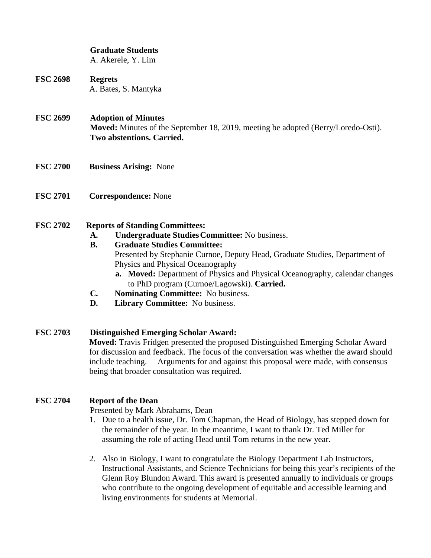# **Graduate Students**

A. Akerele, Y. Lim

## **FSC 2698 Regrets** A. Bates, S. Mantyka

#### **FSC 2699 Adoption of Minutes**

**Moved:** Minutes of the September 18, 2019, meeting be adopted (Berry/Loredo-Osti). **Two abstentions. Carried.**

- **FSC 2700 Business Arising:** None
- **FSC 2701 Correspondence:** None

# **FSC** 2702 **Reports of Standing Committees:**

**A. Undergraduate StudiesCommittee:** No business.

#### **B. Graduate Studies Committee:**

- Presented by Stephanie Curnoe, Deputy Head, Graduate Studies, Department of Physics and Physical Oceanography
- **a. Moved:** Department of Physics and Physical Oceanography, calendar changes to PhD program (Curnoe/Lagowski). **Carried.**
- **C. Nominating Committee:** No business.
- **D. Library Committee:** No business.

# **FSC 2703 Distinguished Emerging Scholar Award: Moved:** Travis Fridgen presented the proposed Distinguished Emerging Scholar Award for discussion and feedback. The focus of the conversation was whether the award should include teaching. Arguments for and against this proposal were made, with consensus being that broader consultation was required.

# **FSC 2704 Report of the Dean**

Presented by Mark Abrahams, Dean

- 1. Due to a health issue, Dr. Tom Chapman, the Head of Biology, has stepped down for the remainder of the year. In the meantime, I want to thank Dr. Ted Miller for assuming the role of acting Head until Tom returns in the new year.
- 2. Also in Biology, I want to congratulate the Biology Department Lab Instructors, Instructional Assistants, and Science Technicians for being this year's recipients of the Glenn Roy Blundon Award. This award is presented annually to individuals or groups who contribute to the ongoing development of equitable and accessible learning and living environments for students at Memorial.